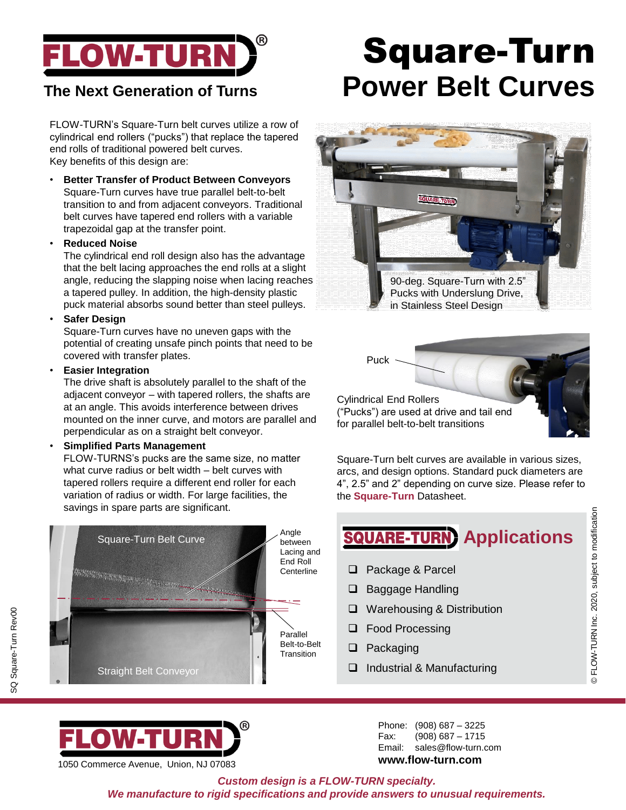

FLOW-TURN's Square-Turn belt curves utilize a row of cylindrical end rollers ("pucks") that replace the tapered end rolls of traditional powered belt curves. Key benefits of this design are:

• **Better Transfer of Product Between Conveyors** Square-Turn curves have true parallel belt-to-belt transition to and from adjacent conveyors. Traditional belt curves have tapered end rollers with a variable trapezoidal gap at the transfer point.

#### • **Reduced Noise**

The cylindrical end roll design also has the advantage that the belt lacing approaches the end rolls at a slight angle, reducing the slapping noise when lacing reaches a tapered pulley. In addition, the high-density plastic puck material absorbs sound better than steel pulleys.

#### • **Safer Design**

SQ Square-Turn Rev00

SQ Square-Turn Rev00

Square-Turn curves have no uneven gaps with the potential of creating unsafe pinch points that need to be covered with transfer plates.

#### • **Easier Integration**

The drive shaft is absolutely parallel to the shaft of the adjacent conveyor – with tapered rollers, the shafts are at an angle. This avoids interference between drives mounted on the inner curve, and motors are parallel and perpendicular as on a straight belt conveyor.

#### • **Simplified Parts Management**

FLOW-TURNS's pucks are the same size, no matter what curve radius or belt width – belt curves with tapered rollers require a different end roller for each variation of radius or width. For large facilities, the savings in spare parts are significant.



## Square-Turn **The Next Generation of Turns Power Belt Curves**





Square-Turn belt curves are available in various sizes, arcs, and design options. Standard puck diameters are 4", 2.5" and 2" depending on curve size. Please refer to the **Square-Turn** Datasheet.

## **SQUARE-TURN** Applications

- ❑ Package & Parcel
- ❑ Baggage Handling
- ❑ Warehousing & Distribution
- ❑ Food Processing
- ❑ Packaging
- ❑ Industrial & Manufacturing

1050 Commerce Avenue, Union, NJ 07083

Phone: (908) 687 – 3225 Fax: (908) 687 – 1715 Email: sales@flow-turn.com **www.flow-turn.com**

© FLOW-TURN Inc. 2020, subject to modification © FLOW-TURN Inc. 2020, subject to modification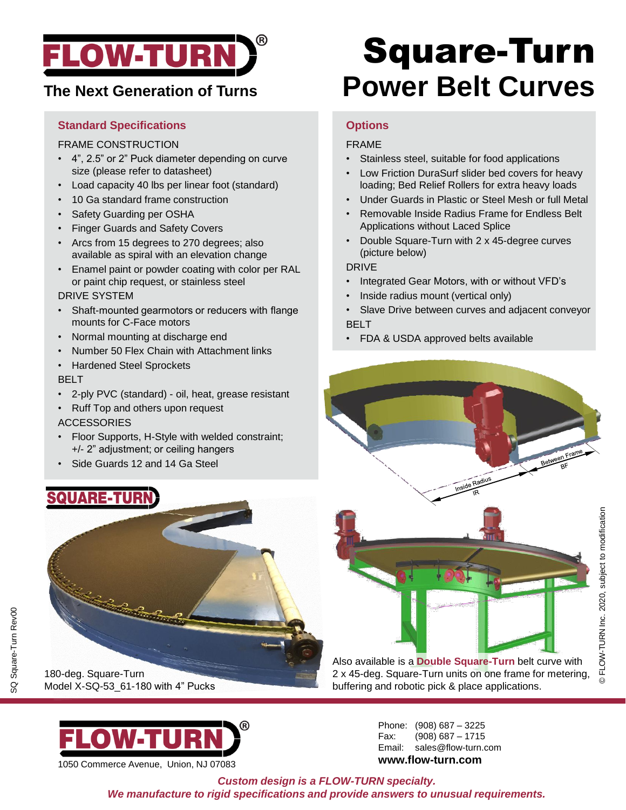

## **The Next Generation of Turns**

#### **Standard Specifications**

#### FRAME CONSTRUCTION

- 4", 2.5" or 2" Puck diameter depending on curve size (please refer to datasheet)
- Load capacity 40 lbs per linear foot (standard)
- 10 Ga standard frame construction
- Safety Guarding per OSHA
- Finger Guards and Safety Covers
- Arcs from 15 degrees to 270 degrees; also available as spiral with an elevation change
- Enamel paint or powder coating with color per RAL or paint chip request, or stainless steel

#### DRIVE SYSTEM

- Shaft-mounted gearmotors or reducers with flange mounts for C-Face motors
- Normal mounting at discharge end
- Number 50 Flex Chain with Attachment links
- Hardened Steel Sprockets

#### BELT

- 2-ply PVC (standard) oil, heat, grease resistant
- Ruff Top and others upon request

#### ACCESSORIES

- Floor Supports, H-Style with welded constraint; +/- 2" adjustment; or ceiling hangers
- Side Guards 12 and 14 Ga Steel

## **QUARE-TURN**



SQ Square-Turn Rev00

SQ Square-Turn Rev00

180-deg. Square-Turn Model X-SQ-53\_61-180 with 4" Pucks



1050 Commerce Avenue, Union, NJ 07083

## Square-Turn **Power Belt Curves**

### **Options**

#### FRAME

- Stainless steel, suitable for food applications
- Low Friction DuraSurf slider bed covers for heavy loading; Bed Relief Rollers for extra heavy loads
- Under Guards in Plastic or Steel Mesh or full Metal
- Removable Inside Radius Frame for Endless Belt Applications without Laced Splice
- Double Square-Turn with 2 x 45-degree curves (picture below)

#### DRIVE

- Integrated Gear Motors, with or without VFD's
- Inside radius mount (vertical only)
- Slave Drive between curves and adjacent conveyor BELT
- FDA & USDA approved belts available





Also available is a **Double Square-Turn** belt curve with 2 x 45-deg. Square-Turn units on one frame for metering, buffering and robotic pick & place applications.

> Phone: (908) 687 – 3225 Fax: (908) 687 – 1715 Email: sales@flow-turn.com **www.flow-turn.com**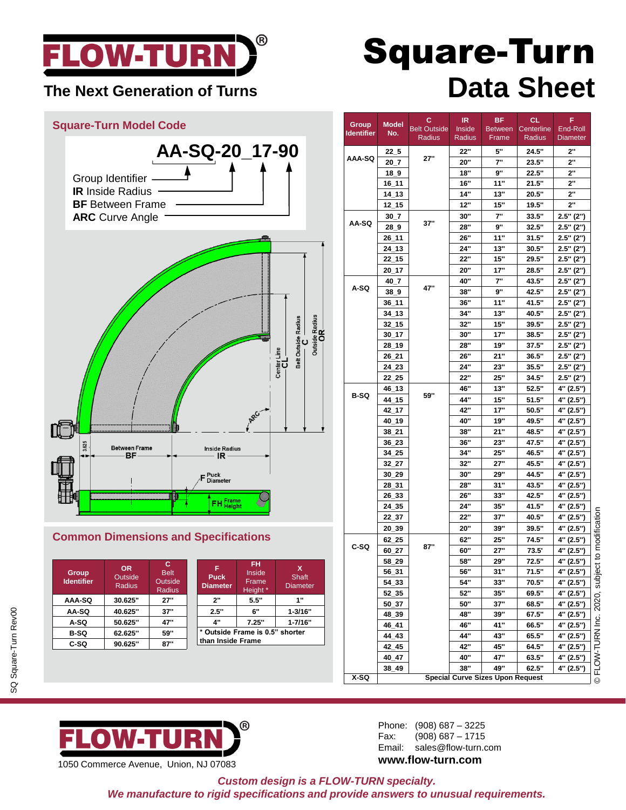

### **The Next Generation of Turns**

## **Square-Turn Model Code AA-SQ-20\_17-90** Group Identifier **IR** Inside Radius **BF** Between Frame **ARC** Curve Angle Belt Outside Radius<br>
C DE **3.625** Inside Radius IR. F Puck<br>F Diameter **S** FH <mark>Frame</mark><br>Height

#### **Common Dimensions and Specifications**

| <b>Group</b><br><b>Identifier</b> | <b>OR</b><br>Outside<br>Radius | c<br><b>Belt</b><br>Outside<br><b>Radius</b> |
|-----------------------------------|--------------------------------|----------------------------------------------|
| AAA-SQ                            | 30.625"                        | 27"                                          |
| AA-SQ                             | 40.625"                        | 37"                                          |
| A-SQ                              | 50.625"                        | 47"                                          |
| B-SQ                              | 62.625"                        | 59"                                          |
| C-SQ                              | 90.625"                        |                                              |

| F<br><b>Puck</b><br><b>Diameter</b> | FH<br>Inside<br>Frame<br>Height * | x<br>Shaft<br>Diameter |  |  |
|-------------------------------------|-----------------------------------|------------------------|--|--|
| 2"                                  | 5.5"                              | 1"                     |  |  |
| 2.5"                                | 6"                                | $1 - 3/16"$            |  |  |
| 4"                                  | 7.25"                             | $1 - 7/16"$            |  |  |
| * Outside Frame is 0.5" shorter     |                                   |                        |  |  |
| than Inside Frame                   |                                   |                        |  |  |
|                                     |                                   |                        |  |  |

|  | <b>Square-Turn</b> |  |                   |  |
|--|--------------------|--|-------------------|--|
|  |                    |  | <b>Data Sheet</b> |  |
|  |                    |  |                   |  |

| Group             | <b>Model</b>                                                  | с                   | IR            | <b>BF</b>      | <b>CL</b>  | F               |                    |
|-------------------|---------------------------------------------------------------|---------------------|---------------|----------------|------------|-----------------|--------------------|
| <b>Identifier</b> | No.                                                           | <b>Belt Outside</b> | <b>Inside</b> | <b>Between</b> | Centerline | End-Roll        |                    |
|                   |                                                               | Radius              | Radius        | Frame          | Radius     | <b>Diameter</b> |                    |
| AAA-SQ            | $22-5$                                                        |                     | 22"           | 5"             | 24.5"      | 2"              |                    |
|                   | $20_7$                                                        | 27"                 | 20"           | 7"             | 23.5"      | 2"              |                    |
|                   | $18_9$                                                        |                     | 18"           | 9"             | 22.5"      | 2"              |                    |
|                   | 16_11                                                         |                     | <b>16"</b>    | 11"            | 21.5"      | 2"              |                    |
|                   | 14_13                                                         |                     | 14"           | 13"            | 20.5"      | 2"              |                    |
|                   | $12\_15$                                                      |                     | 12"           | 15"            | 19.5"      | 2"              |                    |
|                   | 30 7                                                          |                     | 30"           | 7"             | 33.5"      | 2.5" (2")       |                    |
| AA-SQ             | 289                                                           | 37"                 | 28"           | 9"             | 32.5"      | 2.5" (2")       |                    |
|                   | $26 - 11$                                                     |                     | 26"           | 11"            | 31.5"      | 2.5" (2")       |                    |
|                   | 24 13                                                         |                     | 24"           | 13"            | 30.5"      | $2.5"$ (2")     |                    |
|                   | 22 15                                                         |                     | 22"           | 15"            | 29.5"      | 2.5" (2")       |                    |
|                   | $20 - 17$                                                     |                     | 20"           | 17"            | 28.5"      | $2.5"$ (2")     |                    |
|                   | $40 - 7$                                                      |                     | 40"           | 7"             | 43.5"      | 2.5" (2")       |                    |
| A-SQ              | 38 <sub>0</sub>                                               | 47"                 | 38"           | 9"             | 42.5"      | 2.5" (2")       |                    |
|                   | $36_11$                                                       |                     | 36"           | 11"            | 41.5"      | $2.5"$ $(2")$   |                    |
|                   | 34 13                                                         |                     | 34"           | 13"            | 40.5"      | 2.5" (2")       |                    |
|                   | $32 - 15$                                                     |                     | 32"           | 15"            | 39.5"      | 2.5" (2")       |                    |
|                   | 30 17                                                         |                     | 30"           | 17"            | 38.5"      | 2.5" (2")       |                    |
|                   | 28 19                                                         |                     | 28"           | 19"            | 37.5"      | 2.5" (2")       |                    |
|                   | 26 21                                                         |                     | 26"           | 21"            | 36.5"      | 2.5" (2")       |                    |
|                   | 24 23                                                         |                     | 24"           | 23"            | 35.5"      | 2.5" (2")       |                    |
|                   | 22 25                                                         |                     | 22"           | 25"            | 34.5"      | 2.5" (2")       |                    |
|                   | $46 - 13$                                                     |                     | 46"           | 13"            | 52.5"      | 4" (2.5")       |                    |
| B-SQ              | 44 15                                                         | 59"                 | 44"           | 15"            | 51.5"      | 4" (2.5")       |                    |
|                   | 42 17                                                         |                     | 42"           | 17"            | 50.5"      | 4" (2.5")       |                    |
|                   | 40_19                                                         |                     | 40"           | 19"            | 49.5"      | 4" (2.5")       |                    |
|                   | $38 - 21$                                                     |                     | 38"           | 21"            | 48.5"      | 4" (2.5")       |                    |
|                   | 36 23                                                         |                     | 36"           | 23"            | 47.5"      | 4" (2.5")       |                    |
|                   | 34 25                                                         |                     | 34"           | <b>25"</b>     | 46.5"      | 4" (2.5")       |                    |
|                   | $32 - 27$                                                     |                     | 32"           | 27"            | 45.5"      | 4" (2.5")       |                    |
|                   | 30_29                                                         |                     | 30"           | 29"            | 44.5"      | 4" (2.5")       |                    |
|                   | 28 31                                                         |                     | 28"           | 31"            | 43.5"      | 4" (2.5")       |                    |
|                   | 26 33                                                         |                     | 26"           | 33"            | 42.5"      | 4" (2.5")       |                    |
|                   | 24_35                                                         |                     | 24"           | 35"            | 41.5"      | 4" (2.5")       |                    |
|                   | 22_37                                                         |                     | 22"           | 37"            | 40.5"      | 4" (2.5")       |                    |
|                   | 20 39                                                         |                     | 20"           | 39"            | 39.5"      | 4" (2.5")       |                    |
|                   | 62 25                                                         |                     | 62"           | 25"            | 74.5"      | 4" (2.5")       | ct to modification |
| C-SQ              | 60 27                                                         | 87"                 | 60"           | 27"            | 73.5'      | 4" (2.5")       |                    |
|                   | 58_29                                                         |                     | 58"           | 29"            | 72.5"      | 4" (2.5")       |                    |
|                   | $56 - 31$                                                     |                     | 56.           | 31"            | 71.5"      | 4" (2.5")       |                    |
|                   | 54_33                                                         |                     | 54"           | 33"            | 70.5"      | 4" (2.5")       | 2020, subje        |
|                   | 52_35                                                         |                     | 52"           | 35"            | 69.5"      | 4" (2.5")       |                    |
|                   | $50 - 37$                                                     |                     | 50"           | 37"            | 68.5"      | 4" (2.5")       |                    |
|                   | 48_39                                                         |                     | 48"           | 39"            | 67.5"      | 4" (2.5")       |                    |
|                   | 46_41                                                         |                     | 46"           | 41"            | 66.5"      | 4" (2.5")       |                    |
|                   | 44_43                                                         |                     | 44"           | 43"            | 65.5"      | 4" (2.5")       |                    |
|                   | 42_45                                                         |                     | 42"           | 45"            | 64.5"      | 4" (2.5")       |                    |
|                   | 40 47                                                         |                     | 40"           | 47"            | 63.5"      | 4" (2.5")       |                    |
|                   | 38_49                                                         |                     | 38"           | 49"            | 62.5"      | 4" (2.5")       | FLOW-TURNInc.      |
| X-SQ              | <b>Special Curve Sizes Upon Request</b><br>$\overline{\circ}$ |                     |               |                |            |                 |                    |



Phone: (908) 687 – 3225 Fax: (908) 687 – 1715 Email: sales@flow-turn.com **www.flow-turn.com**